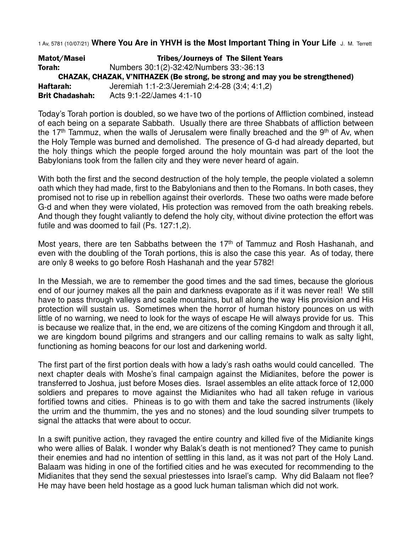1 Av, 5781 (10/07/21) **Where You Are in YHVH is the Most Important Thing in Your Life** J. M. Terrett

Matot/Masei Tribes/Journeys of The Silent Years Torah: Numbers 30:1(2)-32:42/Numbers 33:-36:13 CHAZAK, CHAZAK, V'NITHAZEK (Be strong, be strong and may you be strengthened) Haftarah: Jeremiah 1:1-2:3/Jeremiah 2:4-28 (3:4; 4:1,2) Brit Chadashah: Acts 9:1-22/James 4:1-10

Today's Torah portion is doubled, so we have two of the portions of Affliction combined, instead of each being on a separate Sabbath. Usually there are three Shabbats of affliction between the 17<sup>th</sup> Tammuz, when the walls of Jerusalem were finally breached and the 9<sup>th</sup> of Av, when the Holy Temple was burned and demolished. The presence of G-d had already departed, but the holy things which the people forged around the holy mountain was part of the loot the Babylonians took from the fallen city and they were never heard of again.

With both the first and the second destruction of the holy temple, the people violated a solemn oath which they had made, first to the Babylonians and then to the Romans. In both cases, they promised not to rise up in rebellion against their overlords. These two oaths were made before G-d and when they were violated, His protection was removed from the oath breaking rebels. And though they fought valiantly to defend the holy city, without divine protection the effort was futile and was doomed to fail (Ps. 127:1,2).

Most years, there are ten Sabbaths between the 17<sup>th</sup> of Tammuz and Rosh Hashanah, and even with the doubling of the Torah portions, this is also the case this year. As of today, there are only 8 weeks to go before Rosh Hashanah and the year 5782!

In the Messiah, we are to remember the good times and the sad times, because the glorious end of our journey makes all the pain and darkness evaporate as if it was never real! We still have to pass through valleys and scale mountains, but all along the way His provision and His protection will sustain us. Sometimes when the horror of human history pounces on us with little of no warning, we need to look for the ways of escape He will always provide for us. This is because we realize that, in the end, we are citizens of the coming Kingdom and through it all, we are kingdom bound pilgrims and strangers and our calling remains to walk as salty light, functioning as homing beacons for our lost and darkening world.

The first part of the first portion deals with how a lady's rash oaths would could cancelled. The next chapter deals with Moshe's final campaign against the Midianites, before the power is transferred to Joshua, just before Moses dies. Israel assembles an elite attack force of 12,000 soldiers and prepares to move against the Midianites who had all taken refuge in various fortified towns and cities. Phineas is to go with them and take the sacred instruments (likely the urrim and the thummim, the yes and no stones) and the loud sounding silver trumpets to signal the attacks that were about to occur.

In a swift punitive action, they ravaged the entire country and killed five of the Midianite kings who were allies of Balak. I wonder why Balak's death is not mentioned? They came to punish their enemies and had no intention of settling in this land, as it was not part of the Holy Land. Balaam was hiding in one of the fortified cities and he was executed for recommending to the Midianites that they send the sexual priestesses into Israel's camp. Why did Balaam not flee? He may have been held hostage as a good luck human talisman which did not work.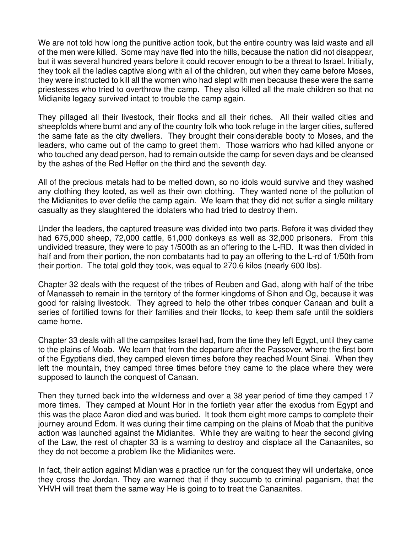We are not told how long the punitive action took, but the entire country was laid waste and all of the men were killed. Some may have fled into the hills, because the nation did not disappear, but it was several hundred years before it could recover enough to be a threat to Israel. Initially, they took all the ladies captive along with all of the children, but when they came before Moses, they were instructed to kill all the women who had slept with men because these were the same priestesses who tried to overthrow the camp. They also killed all the male children so that no Midianite legacy survived intact to trouble the camp again.

They pillaged all their livestock, their flocks and all their riches. All their walled cities and sheepfolds where burnt and any of the country folk who took refuge in the larger cities, suffered the same fate as the city dwellers. They brought their considerable booty to Moses, and the leaders, who came out of the camp to greet them. Those warriors who had killed anyone or who touched any dead person, had to remain outside the camp for seven days and be cleansed by the ashes of the Red Heffer on the third and the seventh day.

All of the precious metals had to be melted down, so no idols would survive and they washed any clothing they looted, as well as their own clothing. They wanted none of the pollution of the Midianites to ever defile the camp again. We learn that they did not suffer a single military casualty as they slaughtered the idolaters who had tried to destroy them.

Under the leaders, the captured treasure was divided into two parts. Before it was divided they had 675,000 sheep, 72,000 cattle, 61,000 donkeys as well as 32,000 prisoners. From this undivided treasure, they were to pay 1/500th as an offering to the L-RD. It was then divided in half and from their portion, the non combatants had to pay an offering to the L-rd of 1/50th from their portion. The total gold they took, was equal to 270.6 kilos (nearly 600 lbs).

Chapter 32 deals with the request of the tribes of Reuben and Gad, along with half of the tribe of Manasseh to remain in the territory of the former kingdoms of Sihon and Og, because it was good for raising livestock. They agreed to help the other tribes conquer Canaan and built a series of fortified towns for their families and their flocks, to keep them safe until the soldiers came home.

Chapter 33 deals with all the campsites Israel had, from the time they left Egypt, until they came to the plains of Moab. We learn that from the departure after the Passover, where the first born of the Egyptians died, they camped eleven times before they reached Mount Sinai. When they left the mountain, they camped three times before they came to the place where they were supposed to launch the conquest of Canaan.

Then they turned back into the wilderness and over a 38 year period of time they camped 17 more times. They camped at Mount Hor in the fortieth year after the exodus from Egypt and this was the place Aaron died and was buried. It took them eight more camps to complete their journey around Edom. It was during their time camping on the plains of Moab that the punitive action was launched against the Midianites. While they are waiting to hear the second giving of the Law, the rest of chapter 33 is a warning to destroy and displace all the Canaanites, so they do not become a problem like the Midianites were.

In fact, their action against Midian was a practice run for the conquest they will undertake, once they cross the Jordan. They are warned that if they succumb to criminal paganism, that the YHVH will treat them the same way He is going to to treat the Canaanites.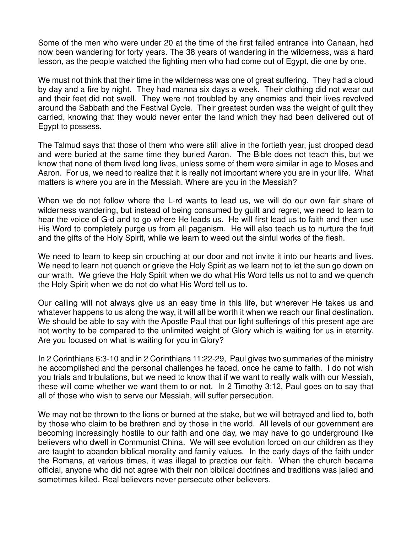Some of the men who were under 20 at the time of the first failed entrance into Canaan, had now been wandering for forty years. The 38 years of wandering in the wilderness, was a hard lesson, as the people watched the fighting men who had come out of Egypt, die one by one.

We must not think that their time in the wilderness was one of great suffering. They had a cloud by day and a fire by night. They had manna six days a week. Their clothing did not wear out and their feet did not swell. They were not troubled by any enemies and their lives revolved around the Sabbath and the Festival Cycle. Their greatest burden was the weight of guilt they carried, knowing that they would never enter the land which they had been delivered out of Egypt to possess.

The Talmud says that those of them who were still alive in the fortieth year, just dropped dead and were buried at the same time they buried Aaron. The Bible does not teach this, but we know that none of them lived long lives, unless some of them were similar in age to Moses and Aaron. For us, we need to realize that it is really not important where you are in your life. What matters is where you are in the Messiah. Where are you in the Messiah?

When we do not follow where the L-rd wants to lead us, we will do our own fair share of wilderness wandering, but instead of being consumed by guilt and regret, we need to learn to hear the voice of G-d and to go where He leads us. He will first lead us to faith and then use His Word to completely purge us from all paganism. He will also teach us to nurture the fruit and the gifts of the Holy Spirit, while we learn to weed out the sinful works of the flesh.

We need to learn to keep sin crouching at our door and not invite it into our hearts and lives. We need to learn not quench or grieve the Holy Spirit as we learn not to let the sun go down on our wrath. We grieve the Holy Spirit when we do what His Word tells us not to and we quench the Holy Spirit when we do not do what His Word tell us to.

Our calling will not always give us an easy time in this life, but wherever He takes us and whatever happens to us along the way, it will all be worth it when we reach our final destination. We should be able to say with the Apostle Paul that our light sufferings of this present age are not worthy to be compared to the unlimited weight of Glory which is waiting for us in eternity. Are you focused on what is waiting for you in Glory?

In 2 Corinthians 6:3-10 and in 2 Corinthians 11:22-29, Paul gives two summaries of the ministry he accomplished and the personal challenges he faced, once he came to faith. I do not wish you trials and tribulations, but we need to know that if we want to really walk with our Messiah, these will come whether we want them to or not. In 2 Timothy 3:12, Paul goes on to say that all of those who wish to serve our Messiah, will suffer persecution.

We may not be thrown to the lions or burned at the stake, but we will betrayed and lied to, both by those who claim to be brethren and by those in the world. All levels of our government are becoming increasingly hostile to our faith and one day, we may have to go underground like believers who dwell in Communist China. We will see evolution forced on our children as they are taught to abandon biblical morality and family values. In the early days of the faith under the Romans, at various times, it was illegal to practice our faith. When the church became official, anyone who did not agree with their non biblical doctrines and traditions was jailed and sometimes killed. Real believers never persecute other believers.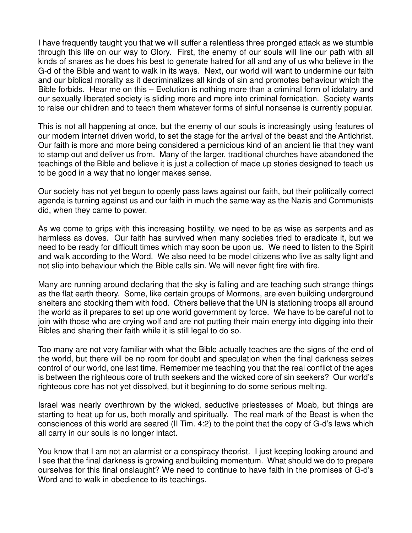I have frequently taught you that we will suffer a relentless three pronged attack as we stumble through this life on our way to Glory. First, the enemy of our souls will line our path with all kinds of snares as he does his best to generate hatred for all and any of us who believe in the G-d of the Bible and want to walk in its ways. Next, our world will want to undermine our faith and our biblical morality as it decriminalizes all kinds of sin and promotes behaviour which the Bible forbids. Hear me on this – Evolution is nothing more than a criminal form of idolatry and our sexually liberated society is sliding more and more into criminal fornication. Society wants to raise our children and to teach them whatever forms of sinful nonsense is currently popular.

This is not all happening at once, but the enemy of our souls is increasingly using features of our modern internet driven world, to set the stage for the arrival of the beast and the Antichrist. Our faith is more and more being considered a pernicious kind of an ancient lie that they want to stamp out and deliver us from. Many of the larger, traditional churches have abandoned the teachings of the Bible and believe it is just a collection of made up stories designed to teach us to be good in a way that no longer makes sense.

Our society has not yet begun to openly pass laws against our faith, but their politically correct agenda is turning against us and our faith in much the same way as the Nazis and Communists did, when they came to power.

As we come to grips with this increasing hostility, we need to be as wise as serpents and as harmless as doves. Our faith has survived when many societies tried to eradicate it, but we need to be ready for difficult times which may soon be upon us. We need to listen to the Spirit and walk according to the Word. We also need to be model citizens who live as salty light and not slip into behaviour which the Bible calls sin. We will never fight fire with fire.

Many are running around declaring that the sky is falling and are teaching such strange things as the flat earth theory. Some, like certain groups of Mormons, are even building underground shelters and stocking them with food. Others believe that the UN is stationing troops all around the world as it prepares to set up one world government by force. We have to be careful not to join with those who are crying wolf and are not putting their main energy into digging into their Bibles and sharing their faith while it is still legal to do so.

Too many are not very familiar with what the Bible actually teaches are the signs of the end of the world, but there will be no room for doubt and speculation when the final darkness seizes control of our world, one last time. Remember me teaching you that the real conflict of the ages is between the righteous core of truth seekers and the wicked core of sin seekers? Our world's righteous core has not yet dissolved, but it beginning to do some serious melting.

Israel was nearly overthrown by the wicked, seductive priestesses of Moab, but things are starting to heat up for us, both morally and spiritually. The real mark of the Beast is when the consciences of this world are seared (II Tim. 4:2) to the point that the copy of G-d's laws which all carry in our souls is no longer intact.

You know that I am not an alarmist or a conspiracy theorist. I just keeping looking around and I see that the final darkness is growing and building momentum. What should we do to prepare ourselves for this final onslaught? We need to continue to have faith in the promises of G-d's Word and to walk in obedience to its teachings.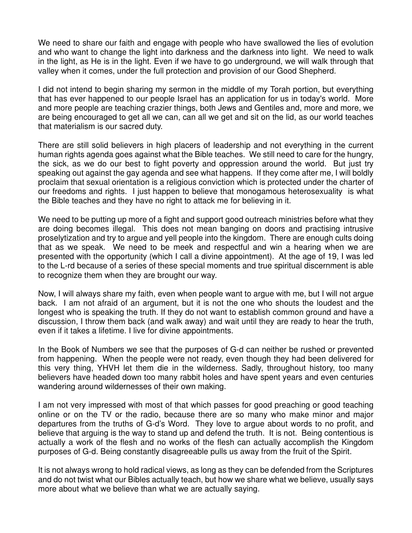We need to share our faith and engage with people who have swallowed the lies of evolution and who want to change the light into darkness and the darkness into light. We need to walk in the light, as He is in the light. Even if we have to go underground, we will walk through that valley when it comes, under the full protection and provision of our Good Shepherd.

I did not intend to begin sharing my sermon in the middle of my Torah portion, but everything that has ever happened to our people Israel has an application for us in today's world. More and more people are teaching crazier things, both Jews and Gentiles and, more and more, we are being encouraged to get all we can, can all we get and sit on the lid, as our world teaches that materialism is our sacred duty.

There are still solid believers in high placers of leadership and not everything in the current human rights agenda goes against what the Bible teaches. We still need to care for the hungry, the sick, as we do our best to fight poverty and oppression around the world. But just try speaking out against the gay agenda and see what happens. If they come after me, I will boldly proclaim that sexual orientation is a religious conviction which is protected under the charter of our freedoms and rights. I just happen to believe that monogamous heterosexuality is what the Bible teaches and they have no right to attack me for believing in it.

We need to be putting up more of a fight and support good outreach ministries before what they are doing becomes illegal. This does not mean banging on doors and practising intrusive proselytization and try to argue and yell people into the kingdom. There are enough cults doing that as we speak. We need to be meek and respectful and win a hearing when we are presented with the opportunity (which I call a divine appointment). At the age of 19, I was led to the L-rd because of a series of these special moments and true spiritual discernment is able to recognize them when they are brought our way.

Now, I will always share my faith, even when people want to argue with me, but I will not argue back. I am not afraid of an argument, but it is not the one who shouts the loudest and the longest who is speaking the truth. If they do not want to establish common ground and have a discussion, I throw them back (and walk away) and wait until they are ready to hear the truth, even if it takes a lifetime. I live for divine appointments.

In the Book of Numbers we see that the purposes of G-d can neither be rushed or prevented from happening. When the people were not ready, even though they had been delivered for this very thing, YHVH let them die in the wilderness. Sadly, throughout history, too many believers have headed down too many rabbit holes and have spent years and even centuries wandering around wildernesses of their own making.

I am not very impressed with most of that which passes for good preaching or good teaching online or on the TV or the radio, because there are so many who make minor and major departures from the truths of G-d's Word. They love to argue about words to no profit, and believe that arguing is the way to stand up and defend the truth. It is not. Being contentious is actually a work of the flesh and no works of the flesh can actually accomplish the Kingdom purposes of G-d. Being constantly disagreeable pulls us away from the fruit of the Spirit.

It is not always wrong to hold radical views, as long as they can be defended from the Scriptures and do not twist what our Bibles actually teach, but how we share what we believe, usually says more about what we believe than what we are actually saying.